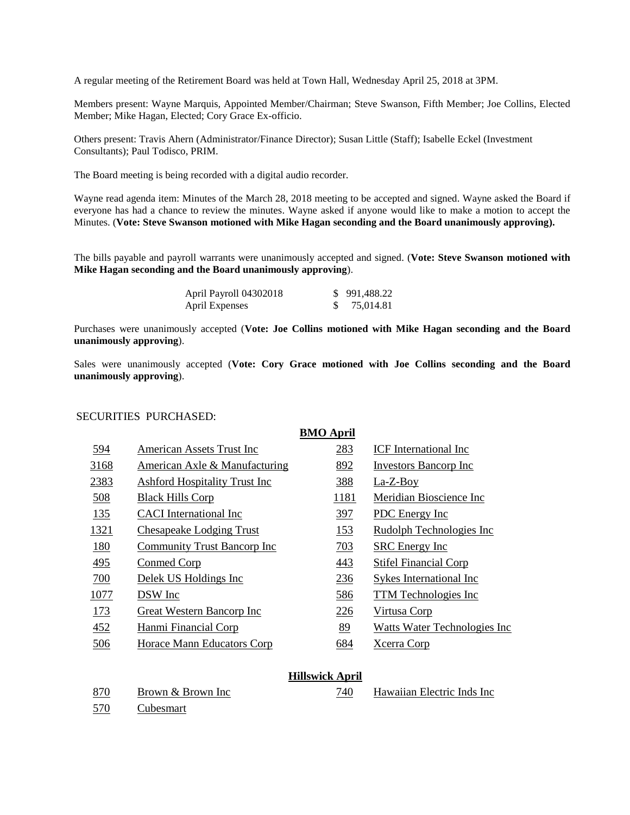A regular meeting of the Retirement Board was held at Town Hall, Wednesday April 25, 2018 at 3PM.

Members present: Wayne Marquis, Appointed Member/Chairman; Steve Swanson, Fifth Member; Joe Collins, Elected Member; Mike Hagan, Elected; Cory Grace Ex-officio.

Others present: Travis Ahern (Administrator/Finance Director); Susan Little (Staff); Isabelle Eckel (Investment Consultants); Paul Todisco, PRIM.

The Board meeting is being recorded with a digital audio recorder.

Wayne read agenda item: Minutes of the March 28, 2018 meeting to be accepted and signed. Wayne asked the Board if everyone has had a chance to review the minutes. Wayne asked if anyone would like to make a motion to accept the Minutes. (**Vote: Steve Swanson motioned with Mike Hagan seconding and the Board unanimously approving).**

The bills payable and payroll warrants were unanimously accepted and signed. (**Vote: Steve Swanson motioned with Mike Hagan seconding and the Board unanimously approving**).

| April Payroll 04302018 | \$991,488.22 |
|------------------------|--------------|
| April Expenses         | 75,014.81    |

Purchases were unanimously accepted (**Vote: Joe Collins motioned with Mike Hagan seconding and the Board unanimously approving**).

Sales were unanimously accepted (**Vote: Cory Grace motioned with Joe Collins seconding and the Board unanimously approving**).

#### SECURITIES PURCHASED:

|      |                                      | <b>BMO April</b> |                              |
|------|--------------------------------------|------------------|------------------------------|
| 594  | American Assets Trust Inc            | 283              | <b>ICF</b> International Inc |
| 3168 | American Axle & Manufacturing        | 892              | <b>Investors Bancorp Inc</b> |
| 2383 | <b>Ashford Hospitality Trust Inc</b> | 388              | La-Z-Boy                     |
| 508  | <b>Black Hills Corp</b>              | 1181             | Meridian Bioscience Inc      |
| 135  | <b>CACI</b> International Inc        | 397              | PDC Energy Inc               |
| 1321 | <b>Chesapeake Lodging Trust</b>      | 153              | Rudolph Technologies Inc     |
| 180  | <b>Community Trust Bancorp Inc</b>   | 703              | <b>SRC</b> Energy Inc        |
| 495  | Conmed Corp                          | 443              | <b>Stifel Financial Corp</b> |
| 700  | Delek US Holdings Inc                | 236              | Sykes International Inc      |
| 1077 | DSW Inc                              | 586              | TTM Technologies Inc         |
| 173  | Great Western Bancorp Inc            | 226              | Virtusa Corp                 |
| 452  | Hanmi Financial Corp                 | 89               | Watts Water Technologies Inc |
| 506  | Horace Mann Educators Corp           | 684              | Xcerra Corp                  |
|      |                                      |                  |                              |

#### **Hillswick April**

570 Cubesmart

870 Brown & Brown Inc 740 Hawaiian Electric Inds Inc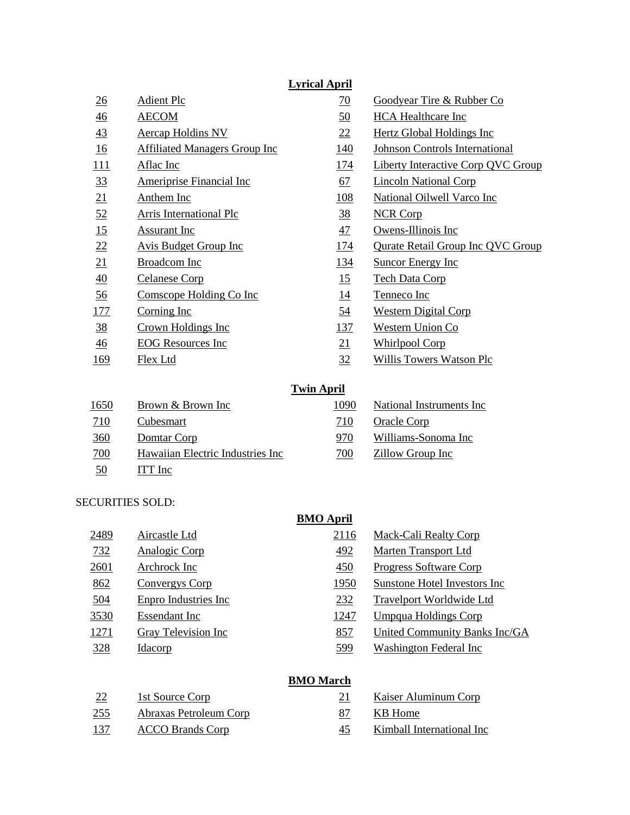## **Lyrical April**

| $\underline{26}$ | <b>Adient Plc</b>                    | 70             | Goodyear Tire & Rubber Co                 |
|------------------|--------------------------------------|----------------|-------------------------------------------|
| $\frac{46}{5}$   | <b>AECOM</b>                         | <u>50</u>      | <b>HCA</b> Healthcare Inc                 |
| 43               | <b>Aercap Holdins NV</b>             | 22             | <b>Hertz Global Holdings Inc</b>          |
| 16               | <b>Affiliated Managers Group Inc</b> | <u>140</u>     | <b>Johnson Controls International</b>     |
| 111              | Aflac Inc                            | <u>174</u>     | <b>Liberty Interactive Corp QVC Group</b> |
| $\frac{33}{2}$   | <b>Ameriprise Financial Inc</b>      | 67             | <b>Lincoln National Corp</b>              |
| 21               | <b>Anthem Inc</b>                    | 108            | <b>National Oilwell Varco Inc</b>         |
| 52               | <b>Arris International Plc</b>       | <u>38</u>      | <b>NCR Corp</b>                           |
| 15               | Assurant Inc                         | $\frac{47}{1}$ | Owens-Illinois Inc                        |
| 22               | <b>Avis Budget Group Inc</b>         | <u>174</u>     | <b>Qurate Retail Group Inc QVC Group</b>  |
| 21               | Broadcom Inc                         | <u>134</u>     | <b>Suncor Energy Inc</b>                  |
| 40               | <b>Celanese Corp</b>                 | 15             | <b>Tech Data Corp</b>                     |
| 56               | Comscope Holding Co Inc              | <u>14</u>      | Tenneco Inc                               |
| <u>177</u>       | Corning Inc                          | <u>54</u>      | <b>Western Digital Corp</b>               |
| <u>38</u>        | Crown Holdings Inc                   | <u>137</u>     | Western Union Co                          |
| $\overline{46}$  | <b>EOG</b> Resources Inc             | 21             | <b>Whirlpool Corp</b>                     |
| 169              | <b>Flex Ltd</b>                      | 32             | <b>Willis Towers Watson Plc</b>           |
|                  |                                      |                |                                           |

### **Twin April**

| <u>1650</u> | Brown & Brown Inc                | 1090 | National Instruments Inc. |
|-------------|----------------------------------|------|---------------------------|
| <u>710</u>  | Cubesmart                        | 710  | Oracle Corp               |
| 360         | Domtar Corp                      | 970  | Williams-Sonoma Inc       |
| 700         | Hawaiian Electric Industries Inc | 700  | Zillow Group Inc          |
| <u>50</u>   | ITT Inc                          |      |                           |

## SECURITIES SOLD:

|            |                       | <b>BMO April</b> |                                |
|------------|-----------------------|------------------|--------------------------------|
| 2489       | Aircastle Ltd         | 2116             | Mack-Cali Realty Corp          |
| 732        | Analogic Corp         | 492              | <b>Marten Transport Ltd</b>    |
| 2601       | Archrock Inc          | 450              | <b>Progress Software Corp</b>  |
| 862        | <b>Convergys Corp</b> | 1950             | Sunstone Hotel Investors Inc   |
| 504        | Enpro Industries Inc  | 232              | Travelport Worldwide Ltd       |
| 3530       | <b>Essendant</b> Inc  | 1247             | Umpqua Holdings Corp           |
| 1271       | Gray Television Inc   | 857              | United Community Banks Inc/GA  |
| <u>328</u> | <u>Idacorp</u>        | 599              | <b>Washington Federal Inc.</b> |
|            |                       |                  |                                |

# **BMO March**

| 22           | 1st Source Corp               |    | <b>Kaiser Aluminum Corp</b> |
|--------------|-------------------------------|----|-----------------------------|
| <u> 255 </u> | <b>Abraxas Petroleum Corp</b> |    | KB Home                     |
| <u>137</u>   | <b>ACCO Brands Corp</b>       | 45 | Kimball International Inc   |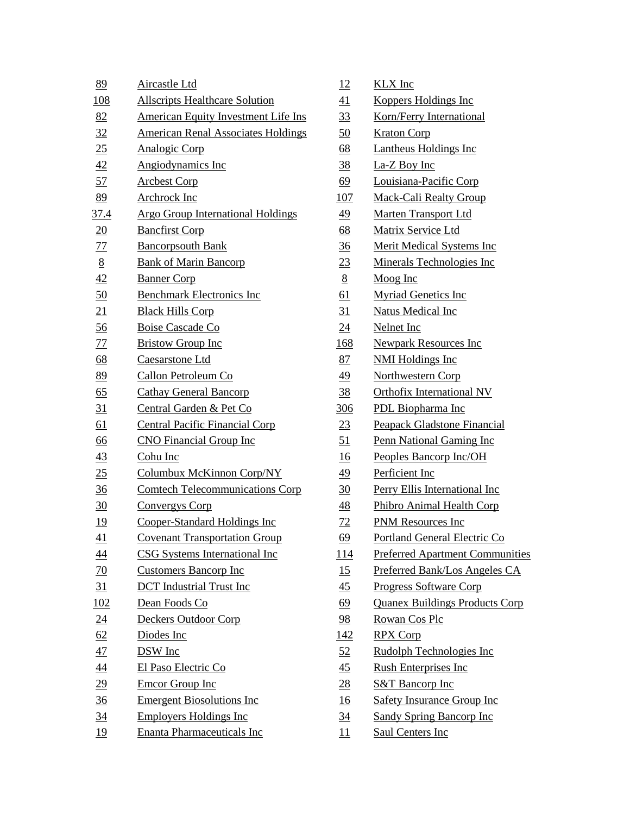| 89               | <b>Aircastle Ltd</b>                       | <u>12</u>        | <b>KLX</b> Inc                         |
|------------------|--------------------------------------------|------------------|----------------------------------------|
| <u>108</u>       | <b>Allscripts Healthcare Solution</b>      | <u>41</u>        | <b>Koppers Holdings Inc</b>            |
| 82               | <b>American Equity Investment Life Ins</b> | <u>33</u>        | Korn/Ferry International               |
| 32               | <b>American Renal Associates Holdings</b>  | <u>50</u>        | <b>Kraton Corp</b>                     |
| 25               | <b>Analogic Corp</b>                       | <u>68</u>        | <b>Lantheus Holdings Inc</b>           |
| $\frac{42}{5}$   | Angiodynamics Inc                          | <u>38</u>        | La-Z Boy Inc                           |
| 57               | <b>Arcbest Corp</b>                        | 69               | Louisiana-Pacific Corp                 |
| 89               | <b>Archrock Inc</b>                        | <u>107</u>       | <b>Mack-Cali Realty Group</b>          |
| <u>37.4</u>      | <b>Argo Group International Holdings</b>   | 49               | <b>Marten Transport Ltd</b>            |
| $\underline{20}$ | <b>Bancfirst Corp</b>                      | $\underline{68}$ | Matrix Service Ltd                     |
| 77               | <b>Bancorpsouth Bank</b>                   | $\frac{36}{5}$   | <b>Merit Medical Systems Inc.</b>      |
| $\underline{8}$  | <b>Bank of Marin Bancorp</b>               | 23               | Minerals Technologies Inc              |
| 42               | <b>Banner Corp</b>                         | $8\overline{8}$  | Moog Inc                               |
| 50               | <b>Benchmark Electronics Inc</b>           | <u>61</u>        | <b>Myriad Genetics Inc</b>             |
| 21               | <b>Black Hills Corp</b>                    | 31               | <b>Natus Medical Inc</b>               |
| $\underline{56}$ | <b>Boise Cascade Co</b>                    | <u>24</u>        | <b>Nelnet Inc</b>                      |
| <u>77</u>        | <b>Bristow Group Inc</b>                   | <u>168</u>       | <b>Newpark Resources Inc</b>           |
| 68               | Caesarstone Ltd                            | 87               | <b>NMI Holdings Inc</b>                |
| 89               | Callon Petroleum Co                        | <u>49</u>        | <b>Northwestern Corp</b>               |
| 65               | <b>Cathay General Bancorp</b>              | $\frac{38}{5}$   | <b>Orthofix International NV</b>       |
| 31               | Central Garden & Pet Co                    | <u>306</u>       | <b>PDL</b> Biopharma Inc               |
| <u>61</u>        | <b>Central Pacific Financial Corp</b>      | 23               | Peapack Gladstone Financial            |
| 66               | <b>CNO</b> Financial Group Inc             | <u>51</u>        | Penn National Gaming Inc               |
| 43               | Cohu Inc                                   | <u>16</u>        | Peoples Bancorp Inc/OH                 |
| 25               | Columbux McKinnon Corp/NY                  | 49               | Perficient Inc                         |
| $\frac{36}{5}$   | <b>Comtech Telecommunications Corp</b>     | $\overline{30}$  | Perry Ellis International Inc          |
| 30               | <b>Convergys Corp</b>                      | $\overline{48}$  | <b>Phibro Animal Health Corp</b>       |
| <u>19</u>        | Cooper-Standard Holdings Inc               | 72               | <b>PNM Resources Inc</b>               |
| $\underline{41}$ | <b>Covenant Transportation Group</b>       | <u>69</u>        | Portland General Electric Co           |
| $\overline{44}$  | <b>CSG Systems International Inc</b>       | <u> 114</u>      | <b>Preferred Apartment Communities</b> |
| <u>70</u>        | <b>Customers Bancorp Inc</b>               | 15               | Preferred Bank/Los Angeles CA          |
| 31               | <b>DCT</b> Industrial Trust Inc            | <u>45</u>        | <b>Progress Software Corp</b>          |
| 102              | Dean Foods Co                              | 69               | <b>Quanex Buildings Products Corp</b>  |
| $\underline{24}$ | Deckers Outdoor Corp                       | 98               | Rowan Cos Plc                          |
| 62               | Diodes Inc                                 | <u> 142</u>      | <b>RPX Corp</b>                        |
| 47               | DSW Inc                                    | <u>52</u>        | Rudolph Technologies Inc               |
| $\overline{44}$  | El Paso Electric Co                        | $\overline{45}$  | <b>Rush Enterprises Inc</b>            |
| $\underline{29}$ | Emcor Group Inc                            | $\overline{28}$  | <b>S&amp;T</b> Bancorp Inc             |
| $\frac{36}{5}$   | <b>Emergent Biosolutions Inc</b>           | <u>16</u>        | <b>Safety Insurance Group Inc</b>      |
| $\frac{34}{5}$   | <b>Employers Holdings Inc</b>              | <u>34</u>        | <b>Sandy Spring Bancorp Inc</b>        |
| <u>19</u>        | <b>Enanta Pharmaceuticals Inc</b>          | 11               | <b>Saul Centers Inc</b>                |

| <u> 12</u>       | <b>KLX</b> Inc                        |
|------------------|---------------------------------------|
| 41               | <b>Koppers Holdings Inc</b>           |
| 33               | Korn/Ferry International              |
| 50               | <b>Kraton Corp</b>                    |
| <u>68</u>        | <b>Lantheus Holdings Inc</b>          |
| <u>38</u>        | La-Z Boy Inc                          |
| 69               | Louisiana-Pacific Corp                |
| <u>107</u>       | <b>Mack-Cali Realty Group</b>         |
| <u>49</u>        | <b>Marten Transport Ltd</b>           |
| $\underline{68}$ | Matrix Service Ltd                    |
| $\frac{36}{5}$   | <b>Merit Medical Systems Inc.</b>     |
| <u>23</u>        | <b>Minerals Technologies Inc</b>      |
| <u>8</u>         | Moog Inc                              |
| 61               | <b>Myriad Genetics Inc</b>            |
| $\overline{31}$  | <b>Natus Medical Inc</b>              |
| $\overline{24}$  | <b>Nelnet Inc</b>                     |
| 168              | <b>Newpark Resources Inc</b>          |
| 87               | <b>NMI Holdings Inc</b>               |
| <u>49</u>        | <u>Northwestern Corp</u>              |
| <u>38</u>        | <b>Orthofix International NV</b>      |
| <u>306</u>       | <b>PDL</b> Biopharma Inc              |
| <u>23</u>        | <b>Peapack Gladstone Financial</b>    |
| <u>51</u>        | <b>Penn National Gaming Inc</b>       |
| 16               | Peoples Bancorp Inc/OH                |
| <u>49</u>        | Perficient Inc                        |
| 30               | <b>Perry Ellis International Inc.</b> |
| 48               | Phibro Animal Health Corp             |
| <u>72</u>        | <b>PNM Resources Inc</b>              |
| <u>69</u>        | Portland General Electric Co          |
| <u> 114</u>      | <b>Preferred Apartment Communitie</b> |
| 15               | Preferred Bank/Los Angeles CA         |
| $\overline{45}$  | <b>Progress Software Corp</b>         |
| <u>69</u>        | <b>Quanex Buildings Products Corp</b> |
| $\frac{98}{9}$   | <b>Rowan Cos Plc</b>                  |
| <u> 142</u>      | <b>RPX Corp</b>                       |
| <u>52</u>        | <b>Rudolph Technologies Inc</b>       |
| $\overline{45}$  | <b>Rush Enterprises Inc</b>           |
| <u>28</u>        | <b>S&amp;T Bancorp Inc</b>            |
| <u>16</u>        | <b>Safety Insurance Group Inc</b>     |
| <u>34</u>        | <b>Sandy Spring Bancorp Inc</b>       |
| <u> 11</u>       | <u>Saul Centers Inc</u>               |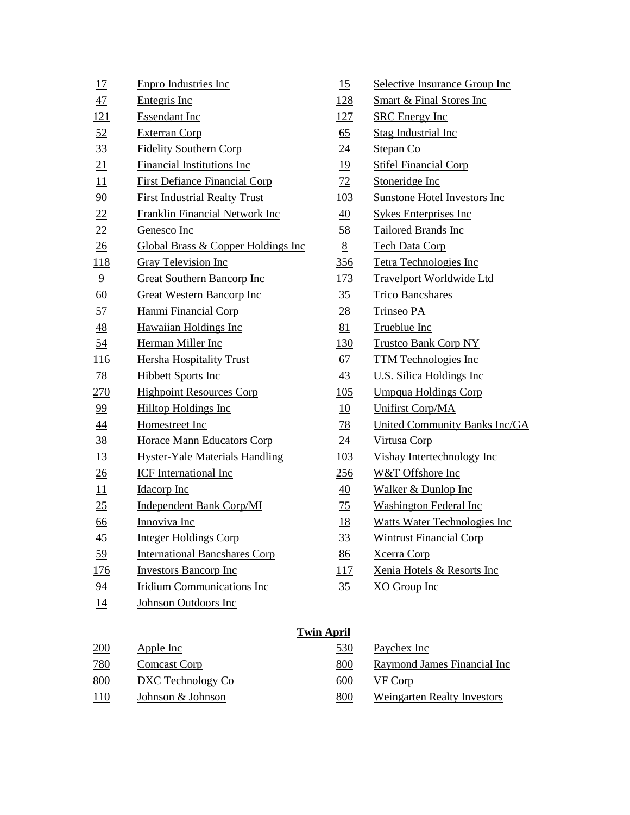| 17             | <b>Enpro Industries Inc</b>                    | 15                | Selective Insurance Group Inc        |
|----------------|------------------------------------------------|-------------------|--------------------------------------|
| 47             | Entegris Inc                                   | <u>128</u>        | <b>Smart &amp; Final Stores Inc</b>  |
| 121            | <b>Essendant Inc</b>                           | 127               | <b>SRC</b> Energy Inc                |
| 52             | <b>Exterran Corp</b>                           | 65                | <b>Stag Industrial Inc</b>           |
| 33             | <b>Fidelity Southern Corp</b>                  | 24                | Stepan Co                            |
| 21             | Financial Institutions Inc                     | <u>19</u>         | <b>Stifel Financial Corp</b>         |
| 11             | <b>First Defiance Financial Corp</b>           | 72                | Stoneridge Inc                       |
| 90             | <b>First Industrial Realty Trust</b>           | 103               | <b>Sunstone Hotel Investors Inc</b>  |
| 22             | <b>Franklin Financial Network Inc.</b>         | <u>40</u>         | <b>Sykes Enterprises Inc</b>         |
| 22             | Genesco Inc                                    | 58                | Tailored Brands Inc                  |
| $\frac{26}{5}$ | <b>Global Brass &amp; Copper Holdings Inc.</b> | $8\overline{8}$   | <b>Tech Data Corp</b>                |
| 118            | <b>Gray Television Inc</b>                     | 356               | <b>Tetra Technologies Inc</b>        |
| $\overline{9}$ | <b>Great Southern Bancorp Inc</b>              | <u>173</u>        | <b>Travelport Worldwide Ltd</b>      |
| 60             | <b>Great Western Bancorp Inc</b>               | 35                | <b>Trico Bancshares</b>              |
| 57             | Hanmi Financial Corp                           | 28                | Trinseo PA                           |
| $\frac{48}{5}$ | <b>Hawaiian Holdings Inc</b>                   | 81                | Trueblue Inc                         |
| 54             | Herman Miller Inc                              | <u> 130</u>       | <b>Trustco Bank Corp NY</b>          |
| 116            | <b>Hersha Hospitality Trust</b>                | 67                | <b>TTM Technologies Inc</b>          |
| <u>78</u>      | <b>Hibbett Sports Inc</b>                      | $\frac{43}{5}$    | <b>U.S. Silica Holdings Inc.</b>     |
| 270            | <b>Highpoint Resources Corp</b>                | 105               | <b>Umpqua Holdings Corp</b>          |
| 99             | <b>Hilltop Holdings Inc</b>                    | 10                | <b>Unifirst Corp/MA</b>              |
| 44             | Homestreet Inc                                 | <u>78</u>         | <b>United Community Banks Inc/GA</b> |
| <u>38</u>      | <b>Horace Mann Educators Corp</b>              | $\overline{24}$   | Virtusa Corp                         |
| <u>13</u>      | <b>Hyster-Yale Materials Handling</b>          | 103               | Vishay Intertechnology Inc           |
| 26             | <b>ICF</b> International Inc                   | 256               | W&T Offshore Inc                     |
| 11             | <b>Idacorp</b> Inc                             | 40                | Walker & Dunlop Inc                  |
| 25             | <b>Independent Bank Corp/MI</b>                | 75                | <b>Washington Federal Inc</b>        |
| 66             | Innoviva Inc                                   | <u>18</u>         | <b>Watts Water Technologies Inc</b>  |
| $\frac{45}{5}$ | <b>Integer Holdings Corp</b>                   | 33                | <b>Wintrust Financial Corp</b>       |
| 59             | <b>International Bancshares Corp</b>           | 86                | <b>Xcerra Corp</b>                   |
| <u>176</u>     | <b>Investors Bancorp Inc</b>                   | 117               | Xenia Hotels & Resorts Inc           |
| 94             | <b>Iridium Communications Inc</b>              | 35                | XO Group Inc                         |
| <u>14</u>      | <b>Johnson Outdoors Inc</b>                    |                   |                                      |
|                |                                                | <b>Twin April</b> |                                      |
| $200 -$        | $A$ pplo $Ino$                                 | 520.              | Doveboy Inc.                         |

| 15              | Selective Insurance Group Inc       |
|-----------------|-------------------------------------|
| 128             | <b>Smart &amp; Final Stores Inc</b> |
| <u>127</u>      | <b>SRC</b> Energy Inc               |
| 65              | <b>Stag Industrial Inc</b>          |
| 24              | Stepan Co                           |
| <u>19</u>       | <b>Stifel Financial Corp</b>        |
| 72              | Stoneridge Inc                      |
| 103             | <b>Sunstone Hotel Investors Inc</b> |
| 40              | <b>Sykes Enterprises Inc</b>        |
| 58              | <b>Tailored Brands Inc</b>          |
| 8               | <b>Tech Data Corp</b>               |
| <u>356</u>      | <b>Tetra Technologies Inc</b>       |
| <u>173</u>      | <b>Travelport Worldwide Ltd</b>     |
| 35              | <b>Trico Bancshares</b>             |
| <u>28</u>       | <b>Trinseo PA</b>                   |
| 81              | Trueblue Inc                        |
| <u>130</u>      | <b>Trustco Bank Corp NY</b>         |
| 67              | <b>TTM Technologies Inc</b>         |
| $\overline{43}$ | <b>U.S. Silica Holdings Inc.</b>    |
| 105             | <b>Umpqua Holdings Corp</b>         |
| <u>10</u>       | <b>Unifirst Corp/MA</b>             |
| 78              | <b>United Community Banks Inc/G</b> |
| $\overline{24}$ | <u>Virtusa Corp</u>                 |
| 103             | Vishay Intertechnology Inc          |
| 256             | W&T Offshore Inc                    |
| 40              | Walker & Dunlop Inc                 |
| 75              | <b>Washington Federal Inc</b>       |
| <u>18</u>       | <b>Watts Water Technologies Inc</b> |
| <u>33</u>       | <b>Wintrust Financial Corp</b>      |
| 86              | <b>Xcerra Corp</b>                  |
| <u>117</u>      | Xenia Hotels & Resorts Inc          |
| 35              | XO Group Inc                        |

| <b>Win April</b> |  |
|------------------|--|
|                  |  |

| 200        | Apple Inc         | 530 | Paychex Inc                        |
|------------|-------------------|-----|------------------------------------|
| 780        | Comcast Corp      | 800 | Raymond James Financial Inc        |
| 800        | DXC Technology Co | 600 | VF Corp                            |
| <u>110</u> | Johnson & Johnson | 800 | <b>Weingarten Realty Investors</b> |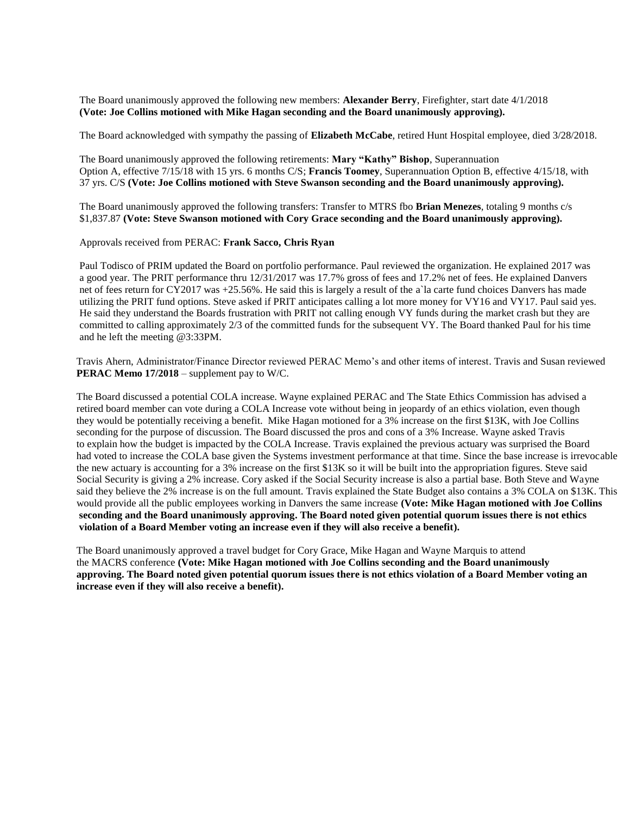The Board unanimously approved the following new members: **Alexander Berry**, Firefighter, start date 4/1/2018 **(Vote: Joe Collins motioned with Mike Hagan seconding and the Board unanimously approving).**

The Board acknowledged with sympathy the passing of **Elizabeth McCabe**, retired Hunt Hospital employee, died 3/28/2018.

The Board unanimously approved the following retirements: **Mary "Kathy" Bishop**, Superannuation Option A, effective 7/15/18 with 15 yrs. 6 months C/S; **Francis Toomey**, Superannuation Option B, effective 4/15/18, with 37 yrs. C/S **(Vote: Joe Collins motioned with Steve Swanson seconding and the Board unanimously approving).**

The Board unanimously approved the following transfers: Transfer to MTRS fbo **Brian Menezes**, totaling 9 months c/s \$1,837.87 **(Vote: Steve Swanson motioned with Cory Grace seconding and the Board unanimously approving).**

Approvals received from PERAC: **Frank Sacco, Chris Ryan**

Paul Todisco of PRIM updated the Board on portfolio performance. Paul reviewed the organization. He explained 2017 was a good year. The PRIT performance thru 12/31/2017 was 17.7% gross of fees and 17.2% net of fees. He explained Danvers net of fees return for CY2017 was +25.56%. He said this is largely a result of the a`la carte fund choices Danvers has made utilizing the PRIT fund options. Steve asked if PRIT anticipates calling a lot more money for VY16 and VY17. Paul said yes. He said they understand the Boards frustration with PRIT not calling enough VY funds during the market crash but they are committed to calling approximately 2/3 of the committed funds for the subsequent VY. The Board thanked Paul for his time and he left the meeting @3:33PM.

Travis Ahern, Administrator/Finance Director reviewed PERAC Memo's and other items of interest. Travis and Susan reviewed **PERAC Memo 17/2018** – supplement pay to W/C.

The Board discussed a potential COLA increase. Wayne explained PERAC and The State Ethics Commission has advised a retired board member can vote during a COLA Increase vote without being in jeopardy of an ethics violation, even though they would be potentially receiving a benefit. Mike Hagan motioned for a 3% increase on the first \$13K, with Joe Collins seconding for the purpose of discussion. The Board discussed the pros and cons of a 3% Increase. Wayne asked Travis to explain how the budget is impacted by the COLA Increase. Travis explained the previous actuary was surprised the Board had voted to increase the COLA base given the Systems investment performance at that time. Since the base increase is irrevocable the new actuary is accounting for a 3% increase on the first \$13K so it will be built into the appropriation figures. Steve said Social Security is giving a 2% increase. Cory asked if the Social Security increase is also a partial base. Both Steve and Wayne said they believe the 2% increase is on the full amount. Travis explained the State Budget also contains a 3% COLA on \$13K. This would provide all the public employees working in Danvers the same increase **(Vote: Mike Hagan motioned with Joe Collins seconding and the Board unanimously approving. The Board noted given potential quorum issues there is not ethics violation of a Board Member voting an increase even if they will also receive a benefit).**

The Board unanimously approved a travel budget for Cory Grace, Mike Hagan and Wayne Marquis to attend the MACRS conference **(Vote: Mike Hagan motioned with Joe Collins seconding and the Board unanimously approving. The Board noted given potential quorum issues there is not ethics violation of a Board Member voting an increase even if they will also receive a benefit).**